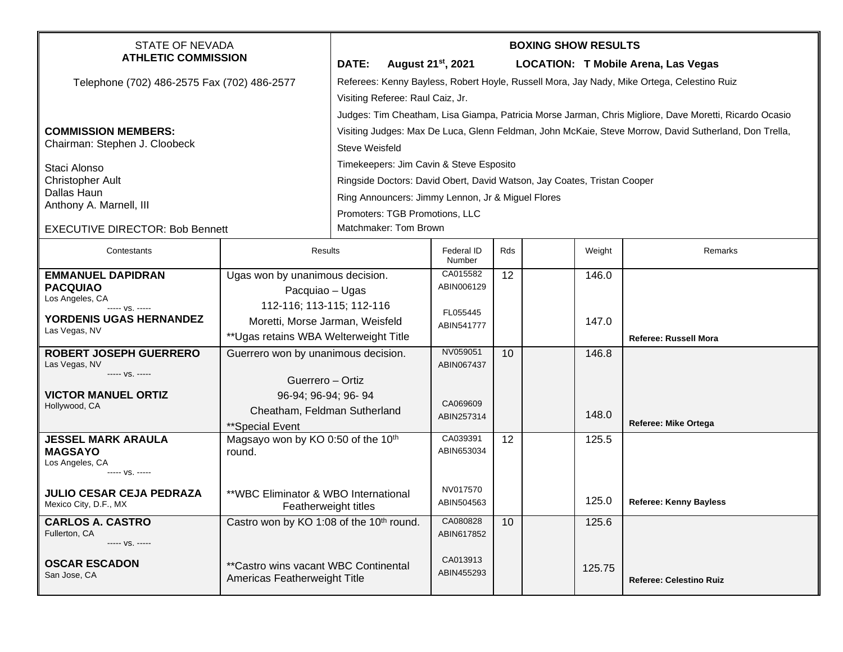| <b>STATE OF NEVADA</b><br><b>ATHLETIC COMMISSION</b>        |                                                      | <b>BOXING SHOW RESULTS</b>                                                                             |                                |     |  |        |                                            |  |  |
|-------------------------------------------------------------|------------------------------------------------------|--------------------------------------------------------------------------------------------------------|--------------------------------|-----|--|--------|--------------------------------------------|--|--|
|                                                             |                                                      | DATE:                                                                                                  | August 21 <sup>st</sup> , 2021 |     |  |        | <b>LOCATION: T Mobile Arena, Las Vegas</b> |  |  |
| Telephone (702) 486-2575 Fax (702) 486-2577                 |                                                      | Referees: Kenny Bayless, Robert Hoyle, Russell Mora, Jay Nady, Mike Ortega, Celestino Ruiz             |                                |     |  |        |                                            |  |  |
|                                                             |                                                      | Visiting Referee: Raul Caiz, Jr.                                                                       |                                |     |  |        |                                            |  |  |
|                                                             |                                                      | Judges: Tim Cheatham, Lisa Giampa, Patricia Morse Jarman, Chris Migliore, Dave Moretti, Ricardo Ocasio |                                |     |  |        |                                            |  |  |
| <b>COMMISSION MEMBERS:</b><br>Chairman: Stephen J. Cloobeck |                                                      | Visiting Judges: Max De Luca, Glenn Feldman, John McKaie, Steve Morrow, David Sutherland, Don Trella,  |                                |     |  |        |                                            |  |  |
|                                                             |                                                      | Steve Weisfeld                                                                                         |                                |     |  |        |                                            |  |  |
| Staci Alonso                                                |                                                      | Timekeepers: Jim Cavin & Steve Esposito                                                                |                                |     |  |        |                                            |  |  |
| <b>Christopher Ault</b>                                     |                                                      | Ringside Doctors: David Obert, David Watson, Jay Coates, Tristan Cooper                                |                                |     |  |        |                                            |  |  |
| Dallas Haun<br>Anthony A. Marnell, III                      |                                                      | Ring Announcers: Jimmy Lennon, Jr & Miguel Flores                                                      |                                |     |  |        |                                            |  |  |
|                                                             |                                                      | Promoters: TGB Promotions, LLC                                                                         |                                |     |  |        |                                            |  |  |
| <b>EXECUTIVE DIRECTOR: Bob Bennett</b>                      |                                                      | Matchmaker: Tom Brown                                                                                  |                                |     |  |        |                                            |  |  |
| Contestants                                                 | Results                                              |                                                                                                        | Federal ID<br>Number           | Rds |  | Weight | Remarks                                    |  |  |
| <b>EMMANUEL DAPIDRAN</b>                                    | Ugas won by unanimous decision.                      |                                                                                                        | CA015582                       | 12  |  | 146.0  |                                            |  |  |
| <b>PACQUIAO</b><br>Los Angeles, CA                          | Pacquiao - Ugas                                      |                                                                                                        | ABIN006129                     |     |  |        |                                            |  |  |
| 112-116; 113-115; 112-116<br>----- VS. -----                |                                                      |                                                                                                        | FL055445                       |     |  |        |                                            |  |  |
| <b>YORDENIS UGAS HERNANDEZ</b><br>Las Vegas, NV             | Moretti, Morse Jarman, Weisfeld                      |                                                                                                        | ABIN541777                     |     |  | 147.0  |                                            |  |  |
|                                                             | ** Ugas retains WBA Welterweight Title               |                                                                                                        |                                |     |  |        | <b>Referee: Russell Mora</b>               |  |  |
| <b>ROBERT JOSEPH GUERRERO</b><br>Las Vegas, NV              | Guerrero won by unanimous decision.                  |                                                                                                        | NV059051<br>ABIN067437         | 10  |  | 146.8  |                                            |  |  |
| ----- VS. -----                                             | Guerrero - Ortiz                                     |                                                                                                        |                                |     |  |        |                                            |  |  |
| <b>VICTOR MANUEL ORTIZ</b>                                  | 96-94; 96-94; 96-94                                  |                                                                                                        |                                |     |  |        |                                            |  |  |
| Hollywood, CA                                               | Cheatham, Feldman Sutherland                         |                                                                                                        | CA069609<br>ABIN257314         |     |  | 148.0  |                                            |  |  |
| **Special Event                                             |                                                      |                                                                                                        |                                |     |  |        | Referee: Mike Ortega                       |  |  |
| <b>JESSEL MARK ARAULA</b>                                   | Magsayo won by KO 0:50 of the 10th                   |                                                                                                        | CA039391                       | 12  |  | 125.5  |                                            |  |  |
| <b>MAGSAYO</b><br>Los Angeles, CA                           | round.                                               |                                                                                                        | ABIN653034                     |     |  |        |                                            |  |  |
| ----- VS. -----                                             |                                                      |                                                                                                        |                                |     |  |        |                                            |  |  |
| <b>JULIO CESAR CEJA PEDRAZA</b>                             | **WBC Eliminator & WBO International                 |                                                                                                        | NV017570                       |     |  |        |                                            |  |  |
| Mexico City, D.F., MX                                       |                                                      | Featherweight titles                                                                                   | ABIN504563                     |     |  | 125.0  | <b>Referee: Kenny Bayless</b>              |  |  |
| <b>CARLOS A. CASTRO</b><br>Fullerton, CA                    | Castro won by KO 1:08 of the 10 <sup>th</sup> round. |                                                                                                        | CA080828                       | 10  |  | 125.6  |                                            |  |  |
| ----- VS. -----                                             |                                                      |                                                                                                        | ABIN617852                     |     |  |        |                                            |  |  |
| <b>OSCAR ESCADON</b>                                        | **Castro wins vacant WBC Continental                 |                                                                                                        | CA013913                       |     |  |        |                                            |  |  |
| San Jose, CA                                                | Americas Featherweight Title                         |                                                                                                        | ABIN455293                     |     |  | 125.75 | <b>Referee: Celestino Ruiz</b>             |  |  |
|                                                             |                                                      |                                                                                                        |                                |     |  |        |                                            |  |  |